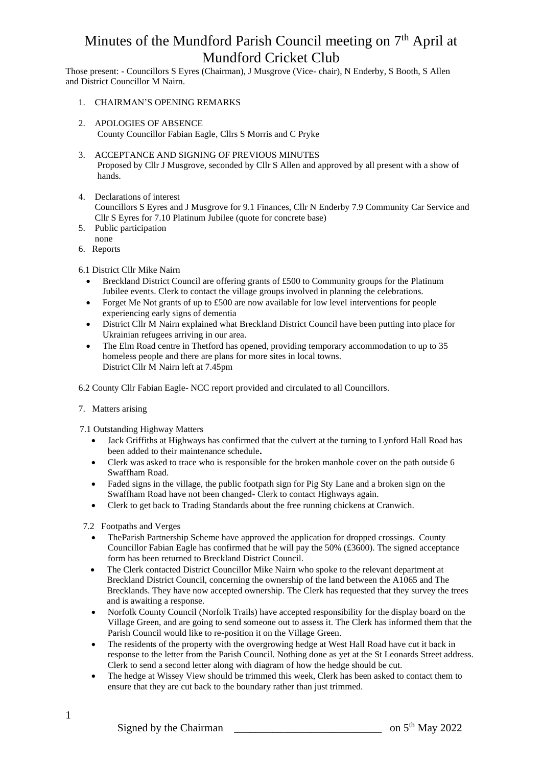Those present: - Councillors S Eyres (Chairman), J Musgrove (Vice- chair), N Enderby, S Booth, S Allen and District Councillor M Nairn.

- 1. CHAIRMAN'S OPENING REMARKS
- 2. APOLOGIES OF ABSENCE County Councillor Fabian Eagle, Cllrs S Morris and C Pryke
- 3. ACCEPTANCE AND SIGNING OF PREVIOUS MINUTES Proposed by Cllr J Musgrove, seconded by Cllr S Allen and approved by all present with a show of hands.
- 4. Declarations of interest

Councillors S Eyres and J Musgrove for 9.1 Finances, Cllr N Enderby 7.9 Community Car Service and Cllr S Eyres for 7.10 Platinum Jubilee (quote for concrete base)

- 5. Public participation
- none 6. Reports
- 6.1 District Cllr Mike Nairn
	- Breckland District Council are offering grants of £500 to Community groups for the Platinum Jubilee events. Clerk to contact the village groups involved in planning the celebrations.
	- Forget Me Not grants of up to £500 are now available for low level interventions for people experiencing early signs of dementia
	- District Cllr M Nairn explained what Breckland District Council have been putting into place for Ukrainian refugees arriving in our area.
	- The Elm Road centre in Thetford has opened, providing temporary accommodation to up to 35 homeless people and there are plans for more sites in local towns. District Cllr M Nairn left at 7.45pm
- 6.2 County Cllr Fabian Eagle- NCC report provided and circulated to all Councillors.
- 7. Matters arising
- 7.1 Outstanding Highway Matters
	- Jack Griffiths at Highways has confirmed that the culvert at the turning to Lynford Hall Road has been added to their maintenance schedule**.**
	- Clerk was asked to trace who is responsible for the broken manhole cover on the path outside 6 Swaffham Road.
	- Faded signs in the village, the public footpath sign for Pig Sty Lane and a broken sign on the Swaffham Road have not been changed- Clerk to contact Highways again.
	- Clerk to get back to Trading Standards about the free running chickens at Cranwich.
- 7.2 Footpaths and Verges
	- The Parish Partnership Scheme have approved the application for dropped crossings. County Councillor Fabian Eagle has confirmed that he will pay the 50% (£3600). The signed acceptance form has been returned to Breckland District Council.
	- The Clerk contacted District Councillor Mike Nairn who spoke to the relevant department at Breckland District Council, concerning the ownership of the land between the A1065 and The Brecklands. They have now accepted ownership. The Clerk has requested that they survey the trees and is awaiting a response.
	- Norfolk County Council (Norfolk Trails) have accepted responsibility for the display board on the Village Green, and are going to send someone out to assess it. The Clerk has informed them that the Parish Council would like to re-position it on the Village Green.
	- The residents of the property with the overgrowing hedge at West Hall Road have cut it back in response to the letter from the Parish Council. Nothing done as yet at the St Leonards Street address. Clerk to send a second letter along with diagram of how the hedge should be cut.
	- The hedge at Wissey View should be trimmed this week, Clerk has been asked to contact them to ensure that they are cut back to the boundary rather than just trimmed.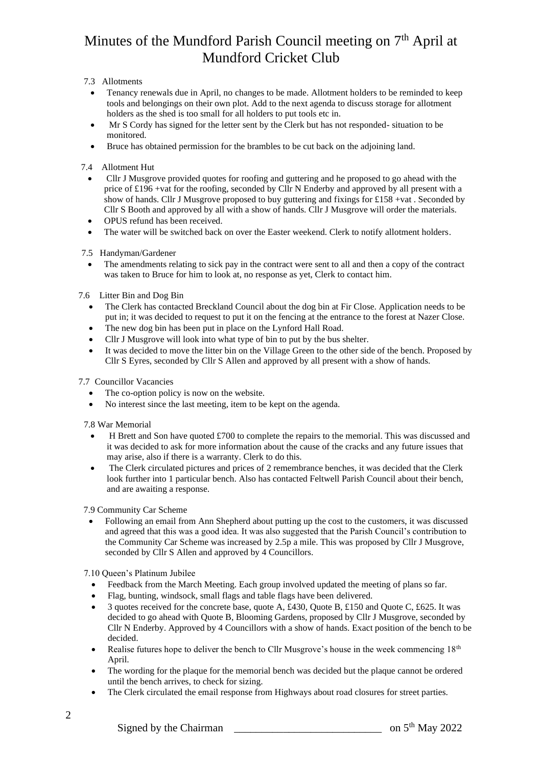## 7.3 Allotments

- Tenancy renewals due in April, no changes to be made. Allotment holders to be reminded to keep tools and belongings on their own plot. Add to the next agenda to discuss storage for allotment holders as the shed is too small for all holders to put tools etc in.
- Mr S Cordy has signed for the letter sent by the Clerk but has not responded- situation to be monitored.
- Bruce has obtained permission for the brambles to be cut back on the adjoining land.

## 7.4 Allotment Hut

- Cllr J Musgrove provided quotes for roofing and guttering and he proposed to go ahead with the price of £196 +vat for the roofing, seconded by Cllr N Enderby and approved by all present with a show of hands. Cllr J Musgrove proposed to buy guttering and fixings for £158 +vat . Seconded by Cllr S Booth and approved by all with a show of hands. Cllr J Musgrove will order the materials.
- OPUS refund has been received.
- The water will be switched back on over the Easter weekend. Clerk to notify allotment holders.
- 7.5 Handyman/Gardener
	- The amendments relating to sick pay in the contract were sent to all and then a copy of the contract was taken to Bruce for him to look at, no response as yet, Clerk to contact him.

## 7.6 Litter Bin and Dog Bin

- The Clerk has contacted Breckland Council about the dog bin at Fir Close. Application needs to be put in; it was decided to request to put it on the fencing at the entrance to the forest at Nazer Close.
- The new dog bin has been put in place on the Lynford Hall Road.
- Cllr J Musgrove will look into what type of bin to put by the bus shelter.
- It was decided to move the litter bin on the Village Green to the other side of the bench. Proposed by Cllr S Eyres, seconded by Cllr S Allen and approved by all present with a show of hands.

7.7 Councillor Vacancies

- The co-option policy is now on the website.
- No interest since the last meeting, item to be kept on the agenda.

7.8 War Memorial

- H Brett and Son have quoted  $\text{\pounds}700$  to complete the repairs to the memorial. This was discussed and it was decided to ask for more information about the cause of the cracks and any future issues that may arise, also if there is a warranty. Clerk to do this.
- The Clerk circulated pictures and prices of 2 remembrance benches, it was decided that the Clerk look further into 1 particular bench. Also has contacted Feltwell Parish Council about their bench, and are awaiting a response.

7.9 Community Car Scheme

• Following an email from Ann Shepherd about putting up the cost to the customers, it was discussed and agreed that this was a good idea. It was also suggested that the Parish Council's contribution to the Community Car Scheme was increased by 2.5p a mile. This was proposed by Cllr J Musgrove, seconded by Cllr S Allen and approved by 4 Councillors.

7.10 Queen's Platinum Jubilee

- Feedback from the March Meeting. Each group involved updated the meeting of plans so far.
- Flag, bunting, windsock, small flags and table flags have been delivered.
- 3 quotes received for the concrete base, quote A, £430, Quote B, £150 and Quote C, £625. It was decided to go ahead with Quote B, Blooming Gardens, proposed by Cllr J Musgrove, seconded by Cllr N Enderby. Approved by 4 Councillors with a show of hands. Exact position of the bench to be decided.
- Realise futures hope to deliver the bench to Cllr Musgrove's house in the week commencing  $18<sup>th</sup>$ April.
- The wording for the plaque for the memorial bench was decided but the plaque cannot be ordered until the bench arrives, to check for sizing.
- The Clerk circulated the email response from Highways about road closures for street parties.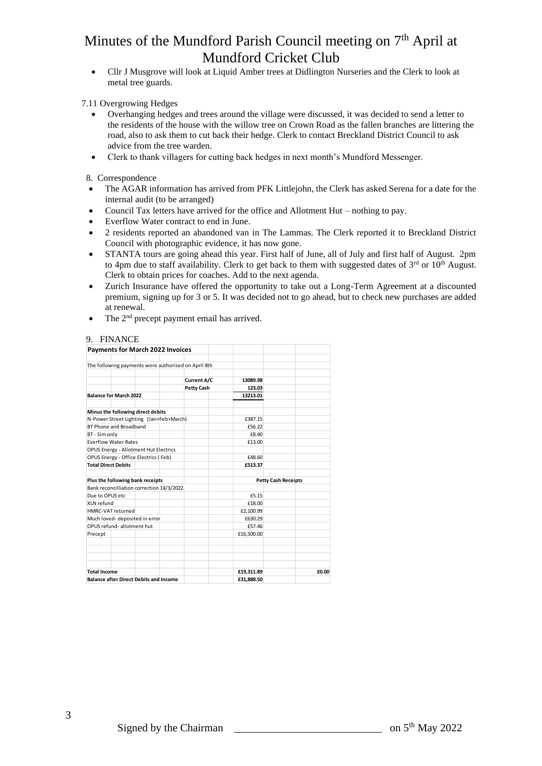• Cllr J Musgrove will look at Liquid Amber trees at Didlington Nurseries and the Clerk to look at metal tree guards.

### 7.11 Overgrowing Hedges

- Overhanging hedges and trees around the village were discussed, it was decided to send a letter to the residents of the house with the willow tree on Crown Road as the fallen branches are littering the road, also to ask them to cut back their hedge. Clerk to contact Breckland District Council to ask advice from the tree warden.
- Clerk to thank villagers for cutting back hedges in next month's Mundford Messenger.

8. Correspondence

- The AGAR information has arrived from PFK Littlejohn, the Clerk has asked Serena for a date for the internal audit (to be arranged)
- Council Tax letters have arrived for the office and Allotment Hut nothing to pay.
- Everflow Water contract to end in June.
- 2 residents reported an abandoned van in The Lammas. The Clerk reported it to Breckland District Council with photographic evidence, it has now gone.
- STANTA tours are going ahead this year. First half of June, all of July and first half of August. 2pm to 4pm due to staff availability. Clerk to get back to them with suggested dates of  $3<sup>rd</sup>$  or  $10<sup>th</sup>$  August. Clerk to obtain prices for coaches. Add to the next agenda.
- Zurich Insurance have offered the opportunity to take out a Long-Term Agreement at a discounted premium, signing up for 3 or 5. It was decided not to go ahead, but to check new purchases are added at renewal.
- The 2<sup>nd</sup> precept payment email has arrived.

### 9. FINANCE

| Payments for March 2022 Invoices                    |                    |                            |       |
|-----------------------------------------------------|--------------------|----------------------------|-------|
| The following payments were authorised on April 8th |                    |                            |       |
|                                                     |                    |                            |       |
|                                                     | <b>Current A/C</b> | 13089.98                   |       |
|                                                     | Petty Cash         | 123.03                     |       |
| <b>Balance for March 2022</b>                       |                    | 13213.01                   |       |
| Minus the following direct debits                   |                    |                            |       |
| N-Power Street Lighting (Jan+Feb+March)             |                    | £387.15                    |       |
| BT Phone and Broadband                              |                    | £56.22                     |       |
| BT - Sim only                                       |                    | £8.40                      |       |
| <b>Everflow Water Rates</b>                         |                    | £13.00                     |       |
| OPUS Energy - Allotment Hut Electrics               |                    |                            |       |
| OPUS Energy - Office Electrics (Feb)                |                    | £48.60                     |       |
| <b>Total Direct Debits</b>                          |                    | £513.37                    |       |
| Plus the following bank receipts                    |                    | <b>Petty Cash Receipts</b> |       |
| Bank reconcilliation correction 14/3/2022.          |                    |                            |       |
| Due to OPUS etc                                     |                    | £5.15                      |       |
| XLN refund                                          |                    | £18.00                     |       |
| HMRC-VAT returned                                   |                    | £2.100.99                  |       |
| Much loved- deposited in error                      |                    | £630.29                    |       |
| OPUS refund-allotment hut                           |                    | £57.46                     |       |
| Precept                                             |                    | £16,500.00                 |       |
|                                                     |                    |                            |       |
|                                                     |                    |                            |       |
| <b>Total Income</b>                                 |                    | £19,311.89                 | £0.00 |
| <b>Balance after Direct Debits and Income</b>       |                    | £31.888.50                 |       |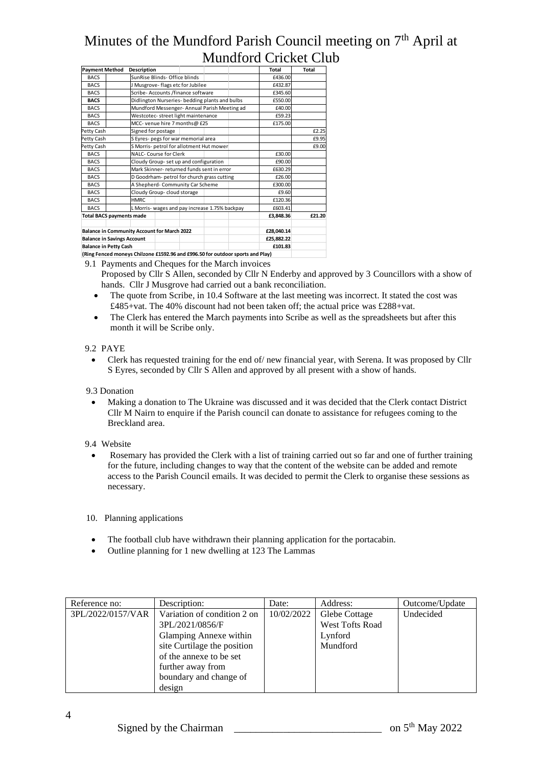| <b>Payment Method</b>                                                          | Description                                        |                                 | Total      | Total  |
|--------------------------------------------------------------------------------|----------------------------------------------------|---------------------------------|------------|--------|
| <b>BACS</b>                                                                    | SunRise Blinds- Office blinds                      |                                 | £436.00    |        |
| <b>BACS</b>                                                                    | J Musgrove-flags etc for Jubilee                   |                                 | £432.87    |        |
| <b>BACS</b>                                                                    | Scribe- Accounts /finance software                 |                                 | £345.60    |        |
| <b>BACS</b>                                                                    | Didlington Nurseries- bedding plants and bulbs     |                                 | £550.00    |        |
| <b>BACS</b>                                                                    | Mundford Messenger- Annual Parish Meeting ad       |                                 | £40.00     |        |
| <b>BACS</b>                                                                    | Westcotec-street light maintenance                 |                                 | £59.23     |        |
| <b>BACS</b>                                                                    | MCC- venue hire 7 months@ £25                      |                                 | £175.00    |        |
| Petty Cash                                                                     | Signed for postage                                 |                                 |            | £2.25  |
| Petty Cash                                                                     | S Eyres- pegs for war memorial area                |                                 |            | £9.95  |
| Petty Cash                                                                     | S Morris- petrol for allotment Hut mower           |                                 |            | £9.00  |
| <b>BACS</b>                                                                    | NALC- Course for Clerk                             |                                 | £30.00     |        |
| <b>BACS</b>                                                                    | Cloudy Group- set up and configuration             |                                 | £90.00     |        |
| <b>BACS</b>                                                                    | Mark Skinner- returned funds sent in error         |                                 | £630.29    |        |
| <b>BACS</b>                                                                    | D Goodrham- petrol for church grass cutting        |                                 | £26.00     |        |
| <b>BACS</b>                                                                    |                                                    | A Shepherd-Community Car Scheme |            |        |
| <b>BACS</b>                                                                    | Cloudy Group- cloud storage                        |                                 | £9.60      |        |
| <b>BACS</b>                                                                    | HMRC.                                              |                                 | £120.36    |        |
| <b>BACS</b>                                                                    | L Morris- wages and pay increase 1.75% backpay     |                                 | £603.41    |        |
| <b>Total BACS payments made</b>                                                |                                                    |                                 | £3.848.36  | £21.20 |
|                                                                                |                                                    |                                 |            |        |
|                                                                                | <b>Balance in Community Account for March 2022</b> |                                 | £28,040.14 |        |
|                                                                                | <b>Balance in Savings Account</b>                  |                                 | £25.882.22 |        |
| <b>Balance in Petty Cash</b>                                                   |                                                    |                                 | £101.83    |        |
| (Ring Fenced moneys Chilzone £1592.96 and £996.50 for outdoor sports and Play) |                                                    |                                 |            |        |

9.1 Payments and Cheques for the March invoices

- Proposed by Cllr S Allen, seconded by Cllr N Enderby and approved by 3 Councillors with a show of hands. Cllr J Musgrove had carried out a bank reconciliation.
- The quote from Scribe, in 10.4 Software at the last meeting was incorrect. It stated the cost was £485+vat. The 40% discount had not been taken off; the actual price was £288+vat.
- The Clerk has entered the March payments into Scribe as well as the spreadsheets but after this month it will be Scribe only.

### 9.2 PAYE

• Clerk has requested training for the end of/ new financial year, with Serena. It was proposed by Cllr S Eyres, seconded by Cllr S Allen and approved by all present with a show of hands.

#### 9.3 Donation

• Making a donation to The Ukraine was discussed and it was decided that the Clerk contact District Cllr M Nairn to enquire if the Parish council can donate to assistance for refugees coming to the Breckland area.

#### 9.4 Website

• Rosemary has provided the Clerk with a list of training carried out so far and one of further training for the future, including changes to way that the content of the website can be added and remote access to the Parish Council emails. It was decided to permit the Clerk to organise these sessions as necessary.

#### 10. Planning applications

- The football club have withdrawn their planning application for the portacabin.
- Outline planning for 1 new dwelling at 123 The Lammas

| Reference no:     | Description:                | Date:      | Address:        | Outcome/Update |
|-------------------|-----------------------------|------------|-----------------|----------------|
| 3PL/2022/0157/VAR | Variation of condition 2 on | 10/02/2022 | Glebe Cottage   | Undecided      |
|                   | 3PL/2021/0856/F             |            | West Tofts Road |                |
|                   | Glamping Annexe within      |            | Lynford         |                |
|                   | site Curtilage the position |            | Mundford        |                |
|                   | of the annexe to be set     |            |                 |                |
|                   | further away from           |            |                 |                |
|                   | boundary and change of      |            |                 |                |
|                   | design                      |            |                 |                |